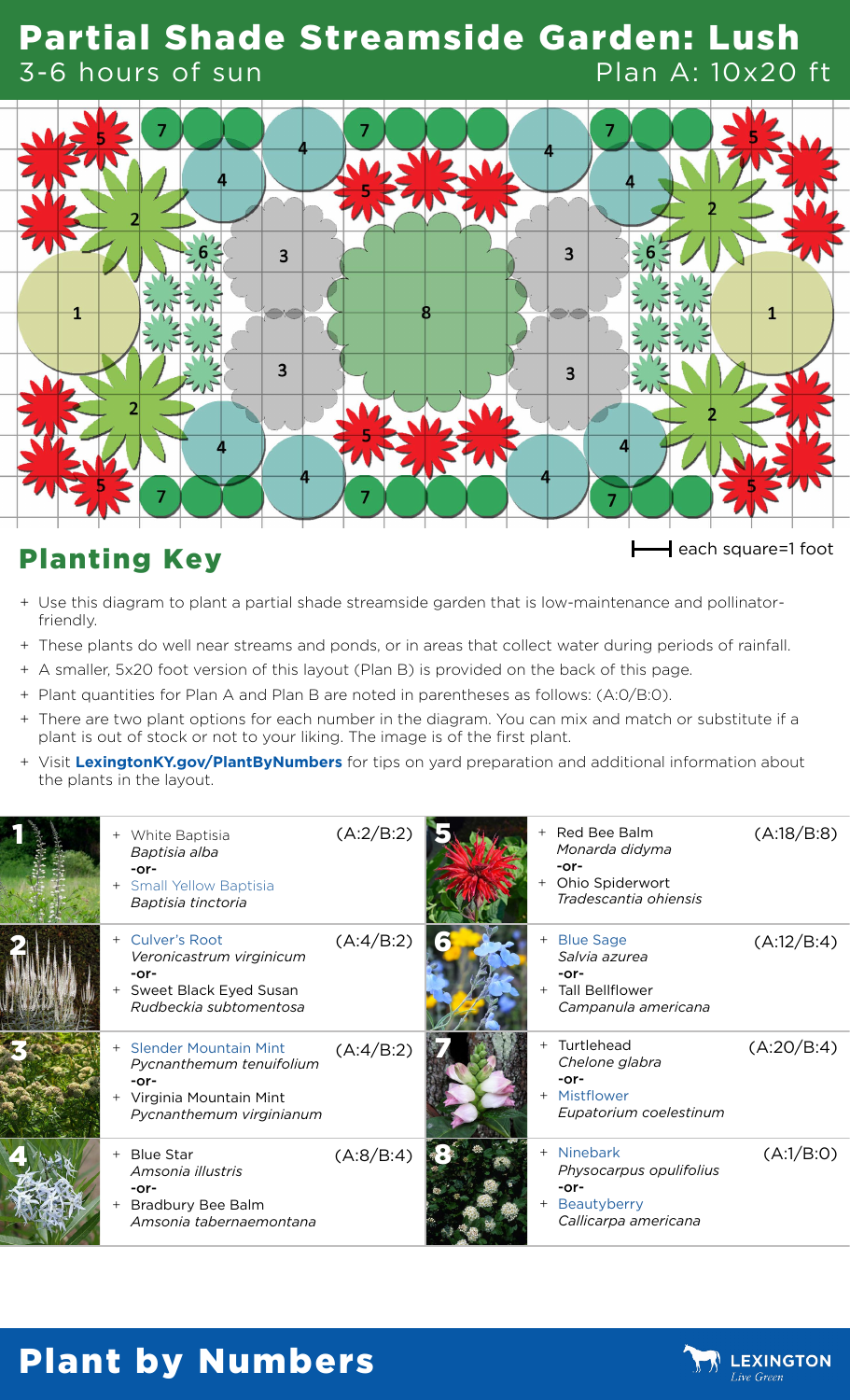#### Partial Shade Streamside Garden: Lush 3-6 hours of sun Plan A: 10x20 ft



## Planting Key **Executes Planting Key**

- + Use this diagram to plant a partial shade streamside garden that is low-maintenance and pollinatorfriendly.
- + These plants do well near streams and ponds, or in areas that collect water during periods of rainfall.
- + A smaller, 5x20 foot version of this layout (Plan B) is provided on the back of this page.
- + Plant quantities for Plan A and Plan B are noted in parentheses as follows: (A:0/B:0).
- + There are two plant options for each number in the diagram. You can mix and match or substitute if a plant is out of stock or not to your liking. The image is of the first plant.
- + Visit **[LexingtonKY.gov/PlantByNumbers](http://LexingtonKY.gov/PlantByNumbers)** for tips on yard preparation and additional information about the plants in the layout.

|  | + White Baptisia<br>Baptisia alba<br>$-0r-$<br>+ Small Yellow Baptisia<br>Baptisia tinctoria                          | (A:2/B:2) |     | + Red Bee Balm<br>Monarda didyma<br>$-0r-$<br>Ohio Spiderwort<br>Tradescantia ohiensis | (A:18/B:8) |
|--|-----------------------------------------------------------------------------------------------------------------------|-----------|-----|----------------------------------------------------------------------------------------|------------|
|  | Culver's Root<br>Veronicastrum virginicum<br>$-0r-$<br>+ Sweet Black Eyed Susan<br>Rudbeckia subtomentosa             | (A:4/B:2) | $+$ | <b>Blue Sage</b><br>Salvia azurea<br>-or-<br>+ Tall Bellflower<br>Campanula americana  | (A:12/B:4) |
|  | + Slender Mountain Mint<br>Pycnanthemum tenuifolium<br>$-0r-$<br>+ Virginia Mountain Mint<br>Pycnanthemum virginianum | (A:4/B:2) |     | + Turtlehead<br>Chelone glabra<br>$-0r-$<br>+ Mistflower<br>Eupatorium coelestinum     | (A:20/B:4) |
|  | + Blue Star<br>Amsonia illustris<br>$-0r-$<br>+ Bradbury Bee Balm<br>Amsonia tabernaemontana                          | (A:8/B:4) | $+$ | + Ninebark<br>Physocarpus opulifolius<br>$-0r-$<br>Beautyberry<br>Callicarpa americana | (A:1/B:0)  |

## Plant by Numbers